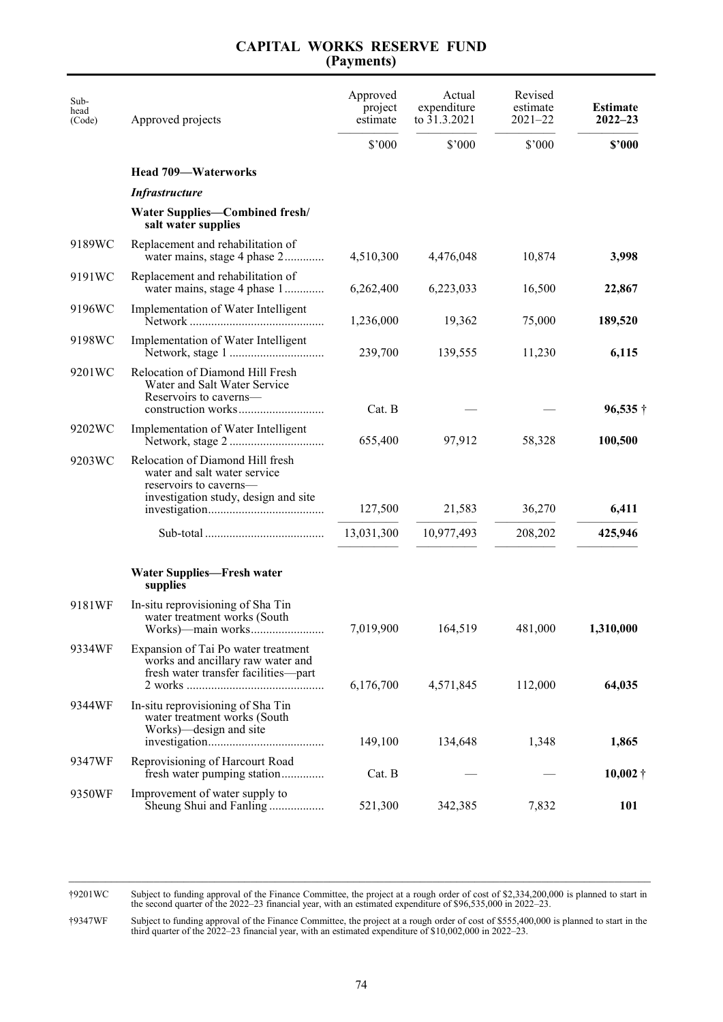## **CAPITAL WORKS RESERVE FUND (Payments)**

| Sub-<br>head<br>(Code) | Approved projects                                                                                                                  | Approved<br>project<br>estimate | Actual<br>expenditure<br>to 31.3.2021 | Revised<br>estimate<br>$2021 - 22$ | <b>Estimate</b><br>$2022 - 23$ |
|------------------------|------------------------------------------------------------------------------------------------------------------------------------|---------------------------------|---------------------------------------|------------------------------------|--------------------------------|
|                        |                                                                                                                                    | \$'000                          | $$^{\circ}000$                        | $$^{\prime}000$                    | \$'000                         |
|                        | <b>Head 709-Waterworks</b>                                                                                                         |                                 |                                       |                                    |                                |
|                        | <b>Infrastructure</b>                                                                                                              |                                 |                                       |                                    |                                |
|                        | <b>Water Supplies—Combined fresh/</b><br>salt water supplies                                                                       |                                 |                                       |                                    |                                |
| 9189WC                 | Replacement and rehabilitation of<br>water mains, stage 4 phase 2                                                                  | 4,510,300                       | 4,476,048                             | 10,874                             | 3,998                          |
| 9191WC                 | Replacement and rehabilitation of<br>water mains, stage 4 phase 1                                                                  | 6,262,400                       | 6,223,033                             | 16,500                             | 22,867                         |
| 9196WC                 | Implementation of Water Intelligent                                                                                                | 1,236,000                       | 19,362                                | 75,000                             | 189,520                        |
| 9198WC                 | Implementation of Water Intelligent                                                                                                | 239,700                         | 139,555                               | 11,230                             | 6,115                          |
| 9201WC                 | Relocation of Diamond Hill Fresh<br>Water and Salt Water Service<br>Reservoirs to caverns—                                         | Cat. B                          |                                       |                                    | $96,535\dagger$                |
| 9202WC                 | Implementation of Water Intelligent                                                                                                | 655,400                         | 97,912                                | 58,328                             | 100,500                        |
| 9203WC                 | Relocation of Diamond Hill fresh<br>water and salt water service<br>reservoirs to caverns—<br>investigation study, design and site | 127,500                         | 21,583                                | 36,270                             | 6,411                          |
|                        |                                                                                                                                    | 13,031,300                      | 10,977,493                            | 208,202                            | 425,946                        |
|                        | <b>Water Supplies—Fresh water</b><br>supplies                                                                                      |                                 |                                       |                                    |                                |
| 9181WF                 | In-situ reprovisioning of Sha Tin<br>water treatment works (South<br>Works)—main works                                             | 7,019,900                       | 164,519                               | 481,000                            | 1,310,000                      |
| 9334WF                 | Expansion of Tai Po water treatment<br>works and ancillary raw water and<br>fresh water transfer facilities-part                   | 6,176,700                       | 4,571,845                             | 112,000                            | 64,035                         |
| 9344WF                 | In-situ reprovisioning of Sha Tin<br>water treatment works (South<br>Works)—design and site                                        | 149,100                         | 134,648                               | 1,348                              | 1,865                          |
| 9347WF                 | Reprovisioning of Harcourt Road<br>fresh water pumping station                                                                     | Cat. B                          |                                       |                                    | $10,002 \dagger$               |
| 9350WF                 | Improvement of water supply to<br>Sheung Shui and Fanling                                                                          | 521,300                         | 342,385                               | 7,832                              | 101                            |

†9201WC Subject to funding approval of the Finance Committee, the project at a rough order of cost of \$2,334,200,000 is planned to start in the second quarter of the 2022–23 financial year, with an estimated expenditure of \$96,535,000 in 2022–23.

†9347WF Subject to funding approval of the Finance Committee, the project at a rough order of cost of \$555,400,000 is planned to start in the third quarter of the 2022–23 financial year, with an estimated expenditure of \$10,002,000 in 2022–23.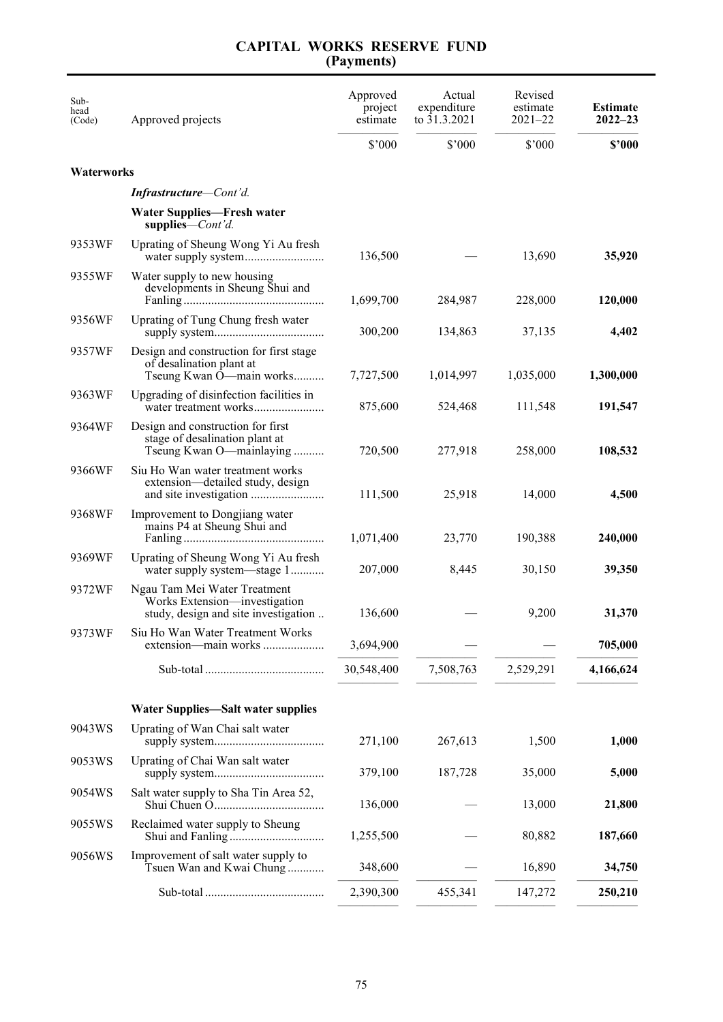## **CAPITAL WORKS RESERVE FUND (Payments)**

| Sub-<br>head<br>(Code) | Approved projects                                                                                     | Approved<br>project<br>estimate | Actual<br>expenditure<br>to 31.3.2021 | Revised<br>estimate<br>$2021 - 22$ | <b>Estimate</b><br>$2022 - 23$ |
|------------------------|-------------------------------------------------------------------------------------------------------|---------------------------------|---------------------------------------|------------------------------------|--------------------------------|
|                        |                                                                                                       | $$^{\circ}000$                  | \$7000                                | \$'000                             | \$'000                         |
| Waterworks             |                                                                                                       |                                 |                                       |                                    |                                |
|                        | <b>Infrastructure–Cont'd.</b>                                                                         |                                 |                                       |                                    |                                |
|                        | <b>Water Supplies—Fresh water</b><br>supplies— $Cont'd$ .                                             |                                 |                                       |                                    |                                |
| 9353WF                 | Uprating of Sheung Wong Yi Au fresh                                                                   | 136,500                         |                                       | 13,690                             | 35,920                         |
| 9355WF                 | Water supply to new housing<br>developments in Sheung Shui and                                        | 1,699,700                       | 284,987                               | 228,000                            | 120,000                        |
| 9356WF                 | Uprating of Tung Chung fresh water                                                                    | 300,200                         | 134,863                               | 37,135                             | 4,402                          |
| 9357WF                 | Design and construction for first stage<br>of desalination plant at<br>Tseung Kwan O-main works       | 7,727,500                       | 1,014,997                             | 1,035,000                          | 1,300,000                      |
| 9363WF                 | Upgrading of disinfection facilities in<br>water treatment works                                      | 875,600                         | 524,468                               | 111,548                            | 191,547                        |
| 9364WF                 | Design and construction for first<br>stage of desalination plant at<br>Tseung Kwan O—mainlaying       | 720,500                         | 277,918                               | 258,000                            | 108,532                        |
| 9366WF                 | Siu Ho Wan water treatment works<br>extension—detailed study, design                                  | 111,500                         | 25,918                                | 14,000                             | 4,500                          |
| 9368WF                 | Improvement to Dongjiang water<br>mains P4 at Sheung Shui and                                         | 1,071,400                       | 23,770                                | 190,388                            | 240,000                        |
| 9369WF                 | Uprating of Sheung Wong Yi Au fresh<br>water supply system—stage 1                                    | 207,000                         | 8,445                                 | 30,150                             | 39,350                         |
| 9372WF                 | Ngau Tam Mei Water Treatment<br>Works Extension-investigation<br>study, design and site investigation | 136,600                         |                                       | 9,200                              | 31,370                         |
| 9373WF                 | Siu Ho Wan Water Treatment Works<br>extension—main works                                              | 3,694,900                       |                                       |                                    | 705,000                        |
|                        |                                                                                                       | 30,548,400                      | 7,508,763                             | 2,529,291                          | 4,166,624                      |
|                        | <b>Water Supplies—Salt water supplies</b>                                                             |                                 |                                       |                                    |                                |
| 9043WS                 | Uprating of Wan Chai salt water                                                                       | 271,100                         | 267,613                               | 1,500                              | 1,000                          |
| 9053WS                 | Uprating of Chai Wan salt water                                                                       | 379,100                         | 187,728                               | 35,000                             | 5,000                          |
| 9054WS                 | Salt water supply to Sha Tin Area 52,                                                                 | 136,000                         |                                       | 13,000                             | 21,800                         |
| 9055WS                 | Reclaimed water supply to Sheung                                                                      | 1,255,500                       |                                       | 80,882                             | 187,660                        |
| 9056WS                 | Improvement of salt water supply to<br>Tsuen Wan and Kwai Chung                                       | 348,600                         |                                       | 16,890                             | 34,750                         |
|                        |                                                                                                       | 2,390,300                       | 455,341                               | 147,272                            | 250,210                        |
|                        |                                                                                                       |                                 |                                       |                                    |                                |